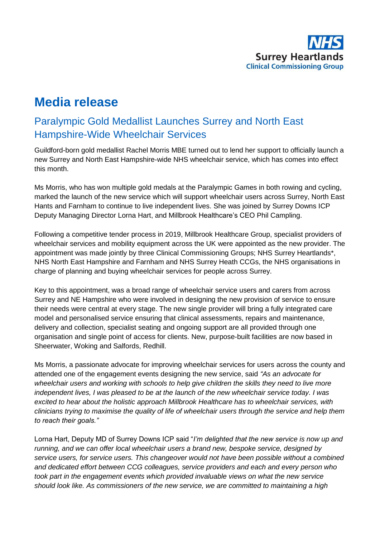

# **Media release**

## Paralympic Gold Medallist Launches Surrey and North East Hampshire-Wide Wheelchair Services

Guildford-born gold medallist Rachel Morris MBE turned out to lend her support to officially launch a new Surrey and North East Hampshire-wide NHS wheelchair service, which has comes into effect this month.

Ms Morris, who has won multiple gold medals at the Paralympic Games in both rowing and cycling, marked the launch of the new service which will support wheelchair users across Surrey, North East Hants and Farnham to continue to live independent lives. She was joined by Surrey Downs ICP Deputy Managing Director Lorna Hart, and Millbrook Healthcare's CEO Phil Campling.

Following a competitive tender process in 2019, Millbrook Healthcare Group, specialist providers of wheelchair services and mobility equipment across the UK were appointed as the new provider. The appointment was made jointly by three Clinical Commissioning Groups; NHS Surrey Heartlands\*, NHS North East Hampshire and Farnham and NHS Surrey Heath CCGs, the NHS organisations in charge of planning and buying wheelchair services for people across Surrey.

Key to this appointment, was a broad range of wheelchair service users and carers from across Surrey and NE Hampshire who were involved in designing the new provision of service to ensure their needs were central at every stage. The new single provider will bring a fully integrated care model and personalised service ensuring that clinical assessments, repairs and maintenance, delivery and collection, specialist seating and ongoing support are all provided through one organisation and single point of access for clients. New, purpose-built facilities are now based in Sheerwater, Woking and Salfords, Redhill.

Ms Morris, a passionate advocate for improving wheelchair services for users across the county and attended one of the engagement events designing the new service, said *"As an advocate for wheelchair users and working with schools to help give children the skills they need to live more independent lives, I was pleased to be at the launch of the new wheelchair service today. I was excited to hear about the holistic approach Millbrook Healthcare has to wheelchair services, with clinicians trying to maximise the quality of life of wheelchair users through the service and help them to reach their goals."*

Lorna Hart, Deputy MD of Surrey Downs ICP said "*I'm delighted that the new service is now up and running, and we can offer local wheelchair users a brand new, bespoke service, designed by service users, for service users. This changeover would not have been possible without a combined and dedicated effort between CCG colleagues, service providers and each and every person who took part in the engagement events which provided invaluable views on what the new service should look like. As commissioners of the new service, we are committed to maintaining a high*